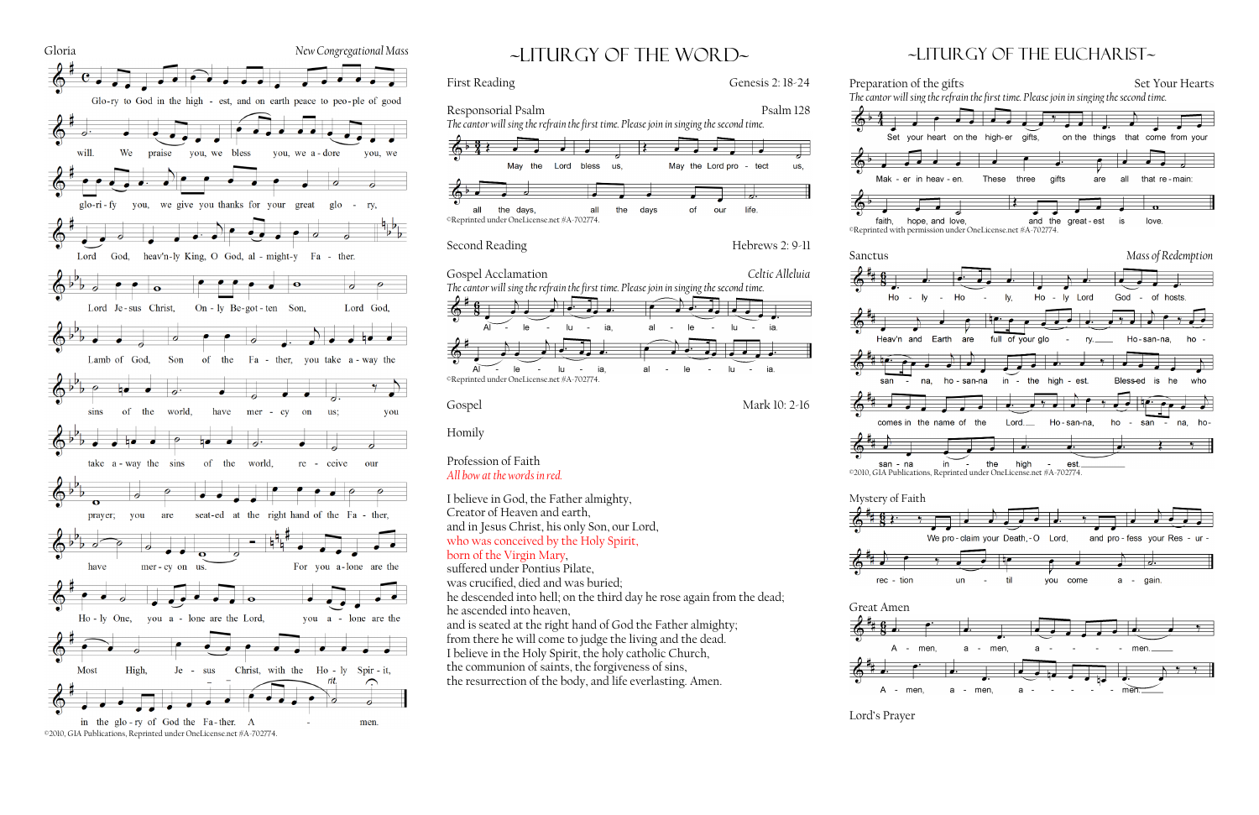

# ~liturgy of the word~

Responsorial Psalm Psalm Psalm 128

 $\overline{\mathbf{R}}$ 

days

 $\mathbf{a}$ 

May the Lord pro

our

 $\overline{\phantom{a}}$ 

 $\sim$ 

lu.

lu  $\sim$ ia

 $\sim$ 

of

 $l$ e

le

Second Reading Hebrews 2: 9-11

the

*The cantor will sing the refrain the first time. Please join in singing the second time.*

us,

 $\overline{\phantom{a}}$  .

bless

all

Lord

 $\left(0, \frac{3}{4}\right)$ 

all

©Reprinted under OneLicense.net #A-702774.

the days.

May the

and in Jesus Christ, his only Son, our Lord, who was conceived by the Holy Spirit,

Gospel Acclamation *Celtic Alleluia*

Gospel Mark 10: 2-16

*The cantor will sing the refrain the first time. Please join in singing the second time.*

©Reprinted under OneLicense.net #A-702774.

 $\sim$   $-$ 

 $|e|$ 

 $\mathsf{R}$ 

 $\sim$ 

lu  $\sim$ ia

lu.  $\sim$   $$ ia

Homily

 $A\Gamma$ 

Profession of Faith *All bow at the words in red.*

### First Reading Genesis 2: 18-24

us,

tect

life

















| con | na |  |
|-----|----|--|



I believe in God, the Father almighty,

Creator of Heaven and earth,

born of the Virgin Mary, suffered under Pontius Pilate, was crucified, died and was buried;

he descended into hell; on the third day he rose again from the dead;

he ascended into heaven,

and is seated at the right hand of God the Father almighty; from there he will come to judge the living and the dead. I believe in the Holy Spirit, the holy catholic Church, the communion of saints, the forgiveness of sins,

the resurrection of the body, and life everlasting. Amen.

## ~Liturgy of the Eucharist~





Lord's Prayer